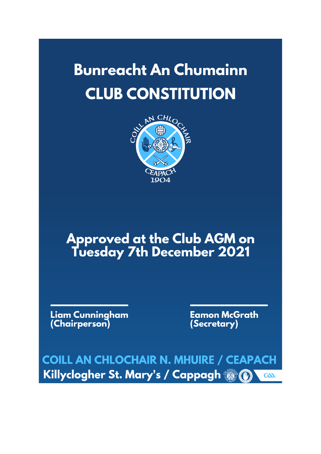## **Bunreacht An Chumainn CLUB CONSTITUTION**



# **Approved at the Club AGM on<br>Tuesday 7th December 2021**

Liam Cunningham<br>(Chairperson)

**Eamon McGrath** (Secretary)

**COILL AN CHLOCHAIR N. MHUIRE / CEAPACH** Killyclogher St. Mary's / Cappagh @ 0  $G\delta\Delta$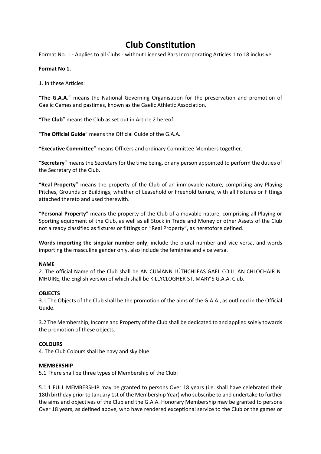### **Club Constitution**

Format No. 1 - Applies to all Clubs - without Licensed Bars Incorporating Articles 1 to 18 inclusive

#### **Format No 1.**

1. In these Articles:

"**The G.A.A.**" means the National Governing Organisation for the preservation and promotion of Gaelic Games and pastimes, known as the Gaelic Athletic Association.

"**The Club**" means the Club as set out in Article 2 hereof.

"**The Official Guide**" means the Official Guide of the G.A.A.

"**Executive Committee**" means Officers and ordinary Committee Members together.

"**Secretary**" means the Secretary for the time being, or any person appointed to perform the duties of the Secretary of the Club.

"**Real Property**" means the property of the Club of an immovable nature, comprising any Playing Pitches, Grounds or Buildings, whether of Leasehold or Freehold tenure, with all Fixtures or Fittings attached thereto and used therewith.

"**Personal Property**" means the property of the Club of a movable nature, comprising all Playing or Sporting equipment of the Club, as well as all Stock in Trade and Money or other Assets of the Club not already classified as fixtures or fittings on "Real Property", as heretofore defined.

**Words importing the singular number only**, include the plural number and vice versa, and words importing the masculine gender only, also include the feminine and vice versa.

#### **NAME**

2. The official Name of the Club shall be AN CUMANN LÚTHCHLEAS GAEL COILL AN CHLOCHAIR N. MHUIRE, the English version of which shall be KILLYCLOGHER ST. MARY'S G.A.A. Club.

#### **OBJECTS**

3.1 The Objects of the Club shall be the promotion of the aims of the G.A.A., as outlined in the Official Guide.

3.2 The Membership, Income and Property of the Club shall be dedicated to and applied solely towards the promotion of these objects.

#### **COLOURS**

4. The Club Colours shall be navy and sky blue.

#### **MEMBERSHIP**

5.1 There shall be three types of Membership of the Club:

5.1.1 FULL MEMBERSHIP may be granted to persons Over 18 years (i.e. shall have celebrated their 18th birthday prior to January 1st of the Membership Year) who subscribe to and undertake to further the aims and objectives of the Club and the G.A.A. Honorary Membership may be granted to persons Over 18 years, as defined above, who have rendered exceptional service to the Club or the games or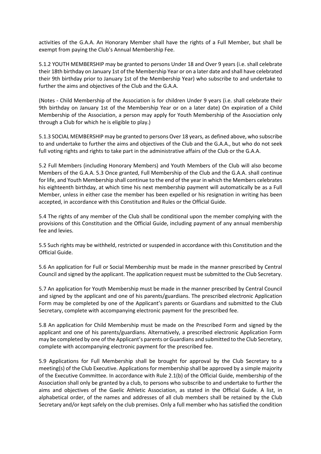activities of the G.A.A. An Honorary Member shall have the rights of a Full Member, but shall be exempt from paying the Club's Annual Membership Fee.

5.1.2 YOUTH MEMBERSHIP may be granted to persons Under 18 and Over 9 years (i.e. shall celebrate their 18th birthday on January 1st of the Membership Year or on a later date and shall have celebrated their 9th birthday prior to January 1st of the Membership Year) who subscribe to and undertake to further the aims and objectives of the Club and the G.A.A.

(Notes - Child Membership of the Association is for children Under 9 years (i.e. shall celebrate their 9th birthday on January 1st of the Membership Year or on a later date) On expiration of a Child Membership of the Association, a person may apply for Youth Membership of the Association only through a Club for which he is eligible to play.)

5.1.3 SOCIAL MEMBERSHIP may be granted to persons Over 18 years, as defined above, who subscribe to and undertake to further the aims and objectives of the Club and the G.A.A., but who do not seek full voting rights and rights to take part in the administrative affairs of the Club or the G.A.A.

5.2 Full Members (including Honorary Members) and Youth Members of the Club will also become Members of the G.A.A. 5.3 Once granted, Full Membership of the Club and the G.A.A. shall continue for life, and Youth Membership shall continue to the end of the year in which the Members celebrates his eighteenth birthday, at which time his next membership payment will automatically be as a Full Member, unless in either case the member has been expelled or his resignation in writing has been accepted, in accordance with this Constitution and Rules or the Official Guide.

5.4 The rights of any member of the Club shall be conditional upon the member complying with the provisions of this Constitution and the Official Guide, including payment of any annual membership fee and levies.

5.5 Such rights may be withheld, restricted or suspended in accordance with this Constitution and the Official Guide.

5.6 An application for Full or Social Membership must be made in the manner prescribed by Central Council and signed by the applicant. The application request must be submitted to the Club Secretary.

5.7 An application for Youth Membership must be made in the manner prescribed by Central Council and signed by the applicant and one of his parents/guardians. The prescribed electronic Application Form may be completed by one of the Applicant's parents or Guardians and submitted to the Club Secretary, complete with accompanying electronic payment for the prescribed fee.

5.8 An application for Child Membership must be made on the Prescribed Form and signed by the applicant and one of his parents/guardians. Alternatively, a prescribed electronic Application Form may be completed by one of the Applicant's parents or Guardians and submitted to the Club Secretary, complete with accompanying electronic payment for the prescribed fee.

5.9 Applications for Full Membership shall be brought for approval by the Club Secretary to a meeting(s) of the Club Executive. Applications for membership shall be approved by a simple majority of the Executive Committee. In accordance with Rule 2.1(b) of the Official Guide, membership of the Association shall only be granted by a club, to persons who subscribe to and undertake to further the aims and objectives of the Gaelic Athletic Association, as stated in the Official Guide. A list, in alphabetical order, of the names and addresses of all club members shall be retained by the Club Secretary and/or kept safely on the club premises. Only a full member who has satisfied the condition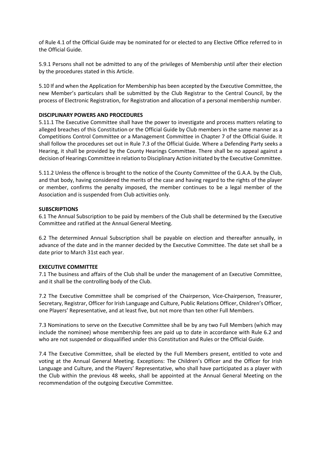of Rule 4.1 of the Official Guide may be nominated for or elected to any Elective Office referred to in the Official Guide.

5.9.1 Persons shall not be admitted to any of the privileges of Membership until after their election by the procedures stated in this Article.

5.10 If and when the Application for Membership has been accepted by the Executive Committee, the new Member's particulars shall be submitted by the Club Registrar to the Central Council, by the process of Electronic Registration, for Registration and allocation of a personal membership number.

#### **DISCIPLINARY POWERS AND PROCEDURES**

5.11.1 The Executive Committee shall have the power to investigate and process matters relating to alleged breaches of this Constitution or the Official Guide by Club members in the same manner as a Competitions Control Committee or a Management Committee in Chapter 7 of the Official Guide. It shall follow the procedures set out in Rule 7.3 of the Official Guide. Where a Defending Party seeks a Hearing, it shall be provided by the County Hearings Committee. There shall be no appeal against a decision of Hearings Committee in relation to Disciplinary Action initiated by the Executive Committee.

5.11.2 Unless the offence is brought to the notice of the County Committee of the G.A.A. by the Club, and that body, having considered the merits of the case and having regard to the rights of the player or member, confirms the penalty imposed, the member continues to be a legal member of the Association and is suspended from Club activities only.

#### **SUBSCRIPTIONS**

6.1 The Annual Subscription to be paid by members of the Club shall be determined by the Executive Committee and ratified at the Annual General Meeting.

6.2 The determined Annual Subscription shall be payable on election and thereafter annually, in advance of the date and in the manner decided by the Executive Committee. The date set shall be a date prior to March 31st each year.

#### **EXECUTIVE COMMITTEE**

7.1 The business and affairs of the Club shall be under the management of an Executive Committee, and it shall be the controlling body of the Club.

7.2 The Executive Committee shall be comprised of the Chairperson, Vice-Chairperson, Treasurer, Secretary, Registrar, Officer for Irish Language and Culture, Public Relations Officer, Children's Officer, one Players' Representative, and at least five, but not more than ten other Full Members.

7.3 Nominations to serve on the Executive Committee shall be by any two Full Members (which may include the nominee) whose membership fees are paid up to date in accordance with Rule 6.2 and who are not suspended or disqualified under this Constitution and Rules or the Official Guide.

7.4 The Executive Committee, shall be elected by the Full Members present, entitled to vote and voting at the Annual General Meeting. Exceptions: The Children's Officer and the Officer for Irish Language and Culture, and the Players' Representative, who shall have participated as a player with the Club within the previous 48 weeks, shall be appointed at the Annual General Meeting on the recommendation of the outgoing Executive Committee.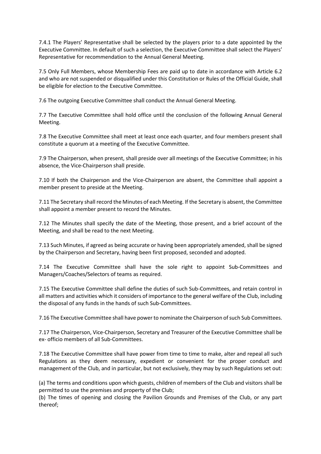7.4.1 The Players' Representative shall be selected by the players prior to a date appointed by the Executive Committee. In default of such a selection, the Executive Committee shall select the Players' Representative for recommendation to the Annual General Meeting.

7.5 Only Full Members, whose Membership Fees are paid up to date in accordance with Article 6.2 and who are not suspended or disqualified under this Constitution or Rules of the Official Guide, shall be eligible for election to the Executive Committee.

7.6 The outgoing Executive Committee shall conduct the Annual General Meeting.

7.7 The Executive Committee shall hold office until the conclusion of the following Annual General Meeting.

7.8 The Executive Committee shall meet at least once each quarter, and four members present shall constitute a quorum at a meeting of the Executive Committee.

7.9 The Chairperson, when present, shall preside over all meetings of the Executive Committee; in his absence, the Vice-Chairperson shall preside.

7.10 If both the Chairperson and the Vice-Chairperson are absent, the Committee shall appoint a member present to preside at the Meeting.

7.11 The Secretary shall record the Minutes of each Meeting. If the Secretary is absent, the Committee shall appoint a member present to record the Minutes.

7.12 The Minutes shall specify the date of the Meeting, those present, and a brief account of the Meeting, and shall be read to the next Meeting.

7.13 Such Minutes, if agreed as being accurate or having been appropriately amended, shall be signed by the Chairperson and Secretary, having been first proposed, seconded and adopted.

7.14 The Executive Committee shall have the sole right to appoint Sub-Committees and Managers/Coaches/Selectors of teams as required.

7.15 The Executive Committee shall define the duties of such Sub-Committees, and retain control in all matters and activities which it considers of importance to the general welfare of the Club, including the disposal of any funds in the hands of such Sub-Committees.

7.16 The Executive Committee shall have power to nominate the Chairperson of such Sub Committees.

7.17 The Chairperson, Vice-Chairperson, Secretary and Treasurer of the Executive Committee shall be ex- officio members of all Sub-Committees.

7.18 The Executive Committee shall have power from time to time to make, alter and repeal all such Regulations as they deem necessary, expedient or convenient for the proper conduct and management of the Club, and in particular, but not exclusively, they may by such Regulations set out:

(a) The terms and conditions upon which guests, children of members of the Club and visitors shall be permitted to use the premises and property of the Club;

(b) The times of opening and closing the Pavilion Grounds and Premises of the Club, or any part thereof;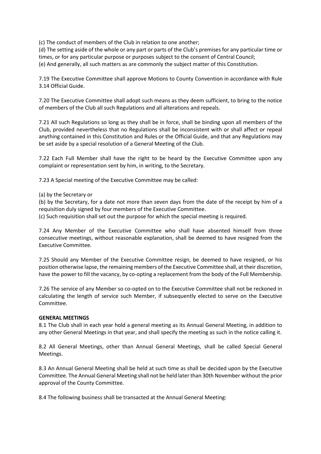(c) The conduct of members of the Club in relation to one another;

(d) The setting aside of the whole or any part or parts of the Club's premises for any particular time or times, or for any particular purpose or purposes subject to the consent of Central Council; (e) And generally, all such matters as are commonly the subject matter of this Constitution.

7.19 The Executive Committee shall approve Motions to County Convention in accordance with Rule 3.14 Official Guide.

7.20 The Executive Committee shall adopt such means as they deem sufficient, to bring to the notice of members of the Club all such Regulations and all alterations and repeals.

7.21 All such Regulations so long as they shall be in force, shall be binding upon all members of the Club, provided nevertheless that no Regulations shall be inconsistent with or shall affect or repeal anything contained in this Constitution and Rules or the Official Guide, and that any Regulations may be set aside by a special resolution of a General Meeting of the Club.

7.22 Each Full Member shall have the right to be heard by the Executive Committee upon any complaint or representation sent by him, in writing, to the Secretary.

7.23 A Special meeting of the Executive Committee may be called:

(a) by the Secretary or

(b) by the Secretary, for a date not more than seven days from the date of the receipt by him of a requisition duly signed by four members of the Executive Committee.

(c) Such requisition shall set out the purpose for which the special meeting is required.

7.24 Any Member of the Executive Committee who shall have absented himself from three consecutive meetings, without reasonable explanation, shall be deemed to have resigned from the Executive Committee.

7.25 Should any Member of the Executive Committee resign, be deemed to have resigned, or his position otherwise lapse, the remaining members of the Executive Committee shall, at their discretion, have the power to fill the vacancy, by co-opting a replacement from the body of the Full Membership.

7.26 The service of any Member so co-opted on to the Executive Committee shall not be reckoned in calculating the length of service such Member, if subsequently elected to serve on the Executive Committee.

#### **GENERAL MEETINGS**

8.1 The Club shall in each year hold a general meeting as its Annual General Meeting, in addition to any other General Meetings in that year, and shall specify the meeting as such in the notice calling it.

8.2 All General Meetings, other than Annual General Meetings, shall be called Special General Meetings.

8.3 An Annual General Meeting shall be held at such time as shall be decided upon by the Executive Committee. The Annual General Meeting shall not be held later than 30th November without the prior approval of the County Committee.

8.4 The following business shall be transacted at the Annual General Meeting: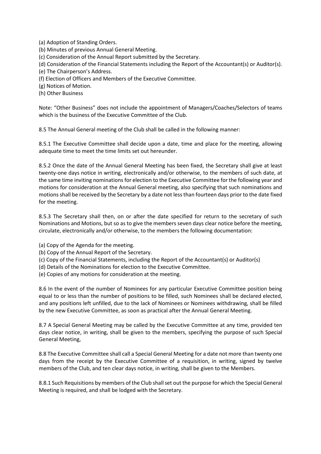(a) Adoption of Standing Orders.

(b) Minutes of previous Annual General Meeting.

(c) Consideration of the Annual Report submitted by the Secretary.

(d) Consideration of the Financial Statements including the Report of the Accountant(s) or Auditor(s).

(e) The Chairperson's Address.

(f) Election of Officers and Members of the Executive Committee.

(g) Notices of Motion.

(h) Other Business

Note: "Other Business" does not include the appointment of Managers/Coaches/Selectors of teams which is the business of the Executive Committee of the Club.

8.5 The Annual General meeting of the Club shall be called in the following manner:

8.5.1 The Executive Committee shall decide upon a date, time and place for the meeting, allowing adequate time to meet the time limits set out hereunder.

8.5.2 Once the date of the Annual General Meeting has been fixed, the Secretary shall give at least twenty-one days notice in writing, electronically and/or otherwise, to the members of such date, at the same time inviting nominations for election to the Executive Committee for the following year and motions for consideration at the Annual General meeting, also specifying that such nominations and motions shall be received by the Secretary by a date not less than fourteen days prior to the date fixed for the meeting.

8.5.3 The Secretary shall then, on or after the date specified for return to the secretary of such Nominations and Motions, but so as to give the members seven days clear notice before the meeting, circulate, electronically and/or otherwise, to the members the following documentation:

(a) Copy of the Agenda for the meeting.

- (b) Copy of the Annual Report of the Secretary.
- (c) Copy of the Financial Statements, including the Report of the Accountant(s) or Auditor(s)
- (d) Details of the Nominations for election to the Executive Committee.
- (e) Copies of any motions for consideration at the meeting.

8.6 In the event of the number of Nominees for any particular Executive Committee position being equal to or less than the number of positions to be filled, such Nominees shall be declared elected, and any positions left unfilled, due to the lack of Nominees or Nominees withdrawing, shall be filled by the new Executive Committee, as soon as practical after the Annual General Meeting.

8.7 A Special General Meeting may be called by the Executive Committee at any time, provided ten days clear notice, in writing, shall be given to the members, specifying the purpose of such Special General Meeting,

8.8 The Executive Committee shall call a Special General Meeting for a date not more than twenty one days from the receipt by the Executive Committee of a requisition, in writing, signed by twelve members of the Club, and ten clear days notice, in writing, shall be given to the Members.

8.8.1 Such Requisitions by members of the Club shall set out the purpose for which the Special General Meeting is required, and shall be lodged with the Secretary.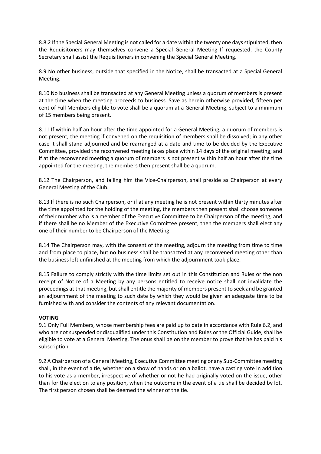8.8.2 If the Special General Meeting is not called for a date within the twenty one days stipulated, then the Requisitoners may themselves convene a Special General Meeting If requested, the County Secretary shall assist the Requisitioners in convening the Special General Meeting.

8.9 No other business, outside that specified in the Notice, shall be transacted at a Special General Meeting.

8.10 No business shall be transacted at any General Meeting unless a quorum of members is present at the time when the meeting proceeds to business. Save as herein otherwise provided, fifteen per cent of Full Members eligible to vote shall be a quorum at a General Meeting, subject to a minimum of 15 members being present.

8.11 If within half an hour after the time appointed for a General Meeting, a quorum of members is not present, the meeting if convened on the requisition of members shall be dissolved; in any other case it shall stand adjourned and be rearranged at a date and time to be decided by the Executive Committee, provided the reconvened meeting takes place within 14 days of the original meeting; and if at the reconvened meeting a quorum of members is not present within half an hour after the time appointed for the meeting, the members then present shall be a quorum.

8.12 The Chairperson, and failing him the Vice-Chairperson, shall preside as Chairperson at every General Meeting of the Club.

8.13 If there is no such Chairperson, or if at any meeting he is not present within thirty minutes after the time appointed for the holding of the meeting, the members then present shall choose someone of their number who is a member of the Executive Committee to be Chairperson of the meeting, and if there shall be no Member of the Executive Committee present, then the members shall elect any one of their number to be Chairperson of the Meeting.

8.14 The Chairperson may, with the consent of the meeting, adjourn the meeting from time to time and from place to place, but no business shall be transacted at any reconvened meeting other than the business left unfinished at the meeting from which the adjournment took place.

8.15 Failure to comply strictly with the time limits set out in this Constitution and Rules or the non receipt of Notice of a Meeting by any persons entitled to receive notice shall not invalidate the proceedings at that meeting, but shall entitle the majority of members present to seek and be granted an adjournment of the meeting to such date by which they would be given an adequate time to be furnished with and consider the contents of any relevant documentation.

#### **VOTING**

9.1 Only Full Members, whose membership fees are paid up to date in accordance with Rule 6.2, and who are not suspended or disqualified under this Constitution and Rules or the Official Guide, shall be eligible to vote at a General Meeting. The onus shall be on the member to prove that he has paid his subscription.

9.2 A Chairperson of a General Meeting, Executive Committee meeting or any Sub-Committee meeting shall, in the event of a tie, whether on a show of hands or on a ballot, have a casting vote in addition to his vote as a member, irrespective of whether or not he had originally voted on the issue, other than for the election to any position, when the outcome in the event of a tie shall be decided by lot. The first person chosen shall be deemed the winner of the tie.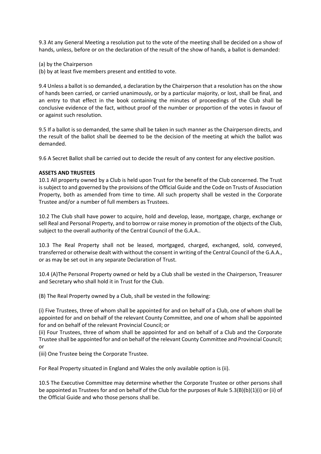9.3 At any General Meeting a resolution put to the vote of the meeting shall be decided on a show of hands, unless, before or on the declaration of the result of the show of hands, a ballot is demanded:

(a) by the Chairperson

(b) by at least five members present and entitled to vote.

9.4 Unless a ballot is so demanded, a declaration by the Chairperson that a resolution has on the show of hands been carried, or carried unanimously, or by a particular majority, or lost, shall be final, and an entry to that effect in the book containing the minutes of proceedings of the Club shall be conclusive evidence of the fact, without proof of the number or proportion of the votes in favour of or against such resolution.

9.5 If a ballot is so demanded, the same shall be taken in such manner as the Chairperson directs, and the result of the ballot shall be deemed to be the decision of the meeting at which the ballot was demanded.

9.6 A Secret Ballot shall be carried out to decide the result of any contest for any elective position.

#### **ASSETS AND TRUSTEES**

10.1 All property owned by a Club is held upon Trust for the benefit of the Club concerned. The Trust is subject to and governed by the provisions of the Official Guide and the Code on Trusts of Association Property, both as amended from time to time. All such property shall be vested in the Corporate Trustee and/or a number of full members as Trustees.

10.2 The Club shall have power to acquire, hold and develop, lease, mortgage, charge, exchange or sell Real and Personal Property, and to borrow or raise money in promotion of the objects of the Club, subject to the overall authority of the Central Council of the G.A.A..

10.3 The Real Property shall not be leased, mortgaged, charged, exchanged, sold, conveyed, transferred or otherwise dealt with without the consent in writing of the Central Council of the G.A.A., or as may be set out in any separate Declaration of Trust.

10.4 (A)The Personal Property owned or held by a Club shall be vested in the Chairperson, Treasurer and Secretary who shall hold it in Trust for the Club.

(B) The Real Property owned by a Club, shall be vested in the following:

(i) Five Trustees, three of whom shall be appointed for and on behalf of a Club, one of whom shall be appointed for and on behalf of the relevant County Committee, and one of whom shall be appointed for and on behalf of the relevant Provincial Council; or

(ii) Four Trustees, three of whom shall be appointed for and on behalf of a Club and the Corporate Trustee shall be appointed for and on behalf of the relevant County Committee and Provincial Council; or

(iii) One Trustee being the Corporate Trustee.

For Real Property situated in England and Wales the only available option is (ii).

10.5 The Executive Committee may determine whether the Corporate Trustee or other persons shall be appointed as Trustees for and on behalf of the Club for the purposes of Rule 5.3(B)(b)(1)(i) or (ii) of the Official Guide and who those persons shall be.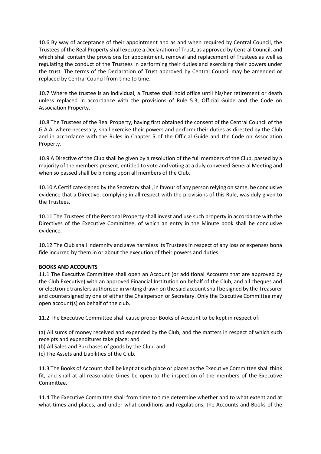10.6 By way of acceptance of their appointment and as and when required by Central Council, the Trustees of the Real Property shall execute a Declaration of Trust, as approved by Central Council, and which shall contain the provisions for appointment, removal and replacement of Trustees as well as regulating the conduct of the Trustees in performing their duties and exercising their powers under the trust. The terms of the Declaration of Trust approved by Central Council may be amended or replaced by Central Council from time to time.

10.7 Where the trustee is an individual, a Trustee shall hold office until his/her retirement or death unless replaced in accordance with the provisions of Rule 5.3, Official Guide and the Code on Association Property.

10.8 The Trustees of the Real Property, having first obtained the consent of the Central Council of the G.A.A. where necessary, shall exercise their powers and perform their duties as directed by the Club and in accordance with the Rules in Chapter 5 of the Official Guide and the Code on Association Property.

10.9 A Directive of the Club shall be given by a resolution of the full members of the Club, passed by a majority of the members present, entitled to vote and voting at a duly convened General Meeting and when so passed shall be binding upon all members of the Club.

10.10 A Certificate signed by the Secretary shall, in favour of any person relying on same, be conclusive evidence that a Directive, complying in all respect with the provisions of this Rule, was duly given to the Trustees.

10.11 The Trustees of the Personal Property shall invest and use such property in accordance with the Directives of the Executive Committee, of which an entry in the Minute book shall be conclusive evidence.

10.12 The Club shall indemnify and save harmless its Trustees in respect of any loss or expenses bona fide incurred by them in or about the execution of their powers and duties.

#### **BOOKS AND ACCOUNTS**

11.1 The Executive Committee shall open an Account (or additional Accounts that are approved by the Club Executive) with an approved Financial Institution on behalf of the Club, and all cheques and or electronic transfers authorised in writing drawn on the said account shall be signed by the Treasurer and countersigned by one of either the Chairperson or Secretary. Only the Executive Committee may open account(s) on behalf of the club.

11.2 The Executive Committee shall cause proper Books of Account to be kept in respect of:

(a) All sums of money received and expended by the Club, and the matters in respect of which such receipts and expenditures take place; and

- (b) All Sales and Purchases of goods by the Club; and
- (c) The Assets and Liabilities of the Club.

11.3 The Books of Account shall be kept at such place or places as the Executive Committee shall think fit, and shall at all reasonable times be open to the inspection of the members of the Executive Committee.

11.4 The Executive Committee shall from time to time determine whether and to what extent and at what times and places, and under what conditions and regulations, the Accounts and Books of the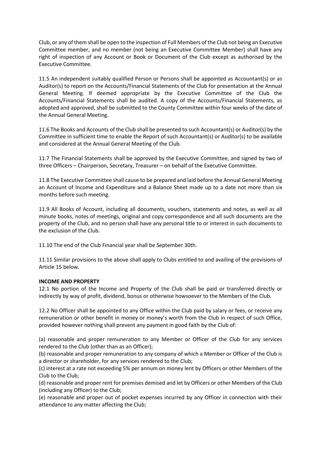Club, or any of them shall be open to the inspection of Full Members of the Club not being an Executive Committee member, and no member (not being an Executive Committee Member) shall have any right of inspection of any Account or Book or Document of the Club except as authorised by the Executive Committee.

11.5 An independent suitably qualified Person or Persons shall be appointed as Accountant(s) or as Auditor(s) to report on the Accounts/Financial Statements of the Club for presentation at the Annual General Meeting. If deemed appropriate by the Executive Committee of the Club the Accounts/Financial Statements shall be audited. A copy of the Accounts/Financial Statements, as adopted and approved, shall be submitted to the County Committee within four weeks of the date of the Annual General Meeting.

11.6 The Books and Accounts of the Club shall be presented to such Accountant(s) or Auditor(s) by the Committee in sufficient time to enable the Report of such Accountant(s) or Auditor(s) to be available and considered at the Annual General Meeting of the Club.

11.7 The Financial Statements shall be approved by the Executive Committee, and signed by two of three Officers – Chairperson, Secretary, Treasurer – on behalf of the Executive Committee.

11.8 The Executive Committee shall cause to be prepared and laid before the Annual General Meeting an Account of Income and Expenditure and a Balance Sheet made up to a date not more than six months before such meeting.

11.9 All Books of Account, including all documents, vouchers, statements and notes, as well as all minute books, notes of meetings, original and copy correspondence and all such documents are the property of the Club, and no person shall have any personal title to or interest in such documents to the exclusion of the Club.

11.10 The end of the Club Financial year shall be September 30th.

11.11 Similar provisions to the above shall apply to Clubs entitled to and availing of the provisions of Article 15 below.

#### **INCOME AND PROPERTY**

12.1 No portion of the Income and Property of the Club shall be paid or transferred directly or indirectly by way of profit, dividend, bonus or otherwise howsoever to the Members of the Club.

12.2 No Officer shall be appointed to any Office within the Club paid by salary or fees, or receive any remuneration or other benefit in money or money's worth from the Club in respect of such Office, provided however nothing shall prevent any payment in good faith by the Club of:

(a) reasonable and proper remuneration to any Member or Officer of the Club for any services rendered to the Club (other than as an Officer);

(b) reasonable and proper remuneration to any company of which a Member or Officer of the Club is a director or shareholder, for any services rendered to the Club;

(c) interest at a rate not exceeding 5% per annum on money lent by Officers or other Members of the Club to the Club;

(d) reasonable and proper rent for premises demised and let by Officers or other Members of the Club (including any Officer) to the Club;

(e) reasonable and proper out of pocket expenses incurred by any Officer in connection with their attendance to any matter affecting the Club;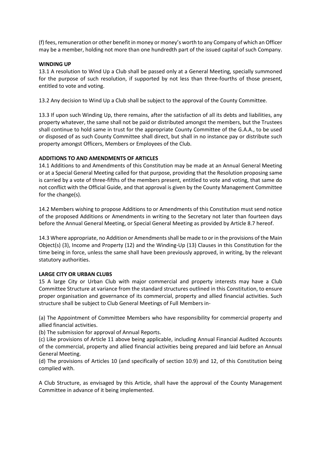(f) fees, remuneration or other benefit in money or money's worth to any Company of which an Officer may be a member, holding not more than one hundredth part of the issued capital of such Company.

#### **WINDING UP**

13.1 A resolution to Wind Up a Club shall be passed only at a General Meeting, specially summoned for the purpose of such resolution, if supported by not less than three-fourths of those present, entitled to vote and voting.

13.2 Any decision to Wind Up a Club shall be subject to the approval of the County Committee.

13.3 If upon such Winding Up, there remains, after the satisfaction of all its debts and liabilities, any property whatever, the same shall not be paid or distributed amongst the members, but the Trustees shall continue to hold same in trust for the appropriate County Committee of the G.A.A., to be used or disposed of as such County Committee shall direct, but shall in no instance pay or distribute such property amongst Officers, Members or Employees of the Club.

#### **ADDITIONS TO AND AMENDMENTS OF ARTICLES**

14.1 Additions to and Amendments of this Constitution may be made at an Annual General Meeting or at a Special General Meeting called for that purpose, providing that the Resolution proposing same is carried by a vote of three-fifths of the members present, entitled to vote and voting, that same do not conflict with the Official Guide, and that approval is given by the County Management Committee for the change(s).

14.2 Members wishing to propose Additions to or Amendments of this Constitution must send notice of the proposed Additions or Amendments in writing to the Secretary not later than fourteen days before the Annual General Meeting, or Special General Meeting as provided by Article 8.7 hereof.

14.3 Where appropriate, no Addition or Amendments shall be made to or in the provisions of the Main Object(s) (3), Income and Property (12) and the Winding-Up (13) Clauses in this Constitution for the time being in force, unless the same shall have been previously approved, in writing, by the relevant statutory authorities.

#### **LARGE CITY OR URBAN CLUBS**

15 A large City or Urban Club with major commercial and property interests may have a Club Committee Structure at variance from the standard structures outlined in this Constitution, to ensure proper organisation and governance of its commercial, property and allied financial activities. Such structure shall be subject to Club General Meetings of Full Members in-

(a) The Appointment of Committee Members who have responsibility for commercial property and allied financial activities.

(b) The submission for approval of Annual Reports.

(c) Like provisions of Article 11 above being applicable, including Annual Financial Audited Accounts of the commercial, property and allied financial activities being prepared and laid before an Annual General Meeting.

(d) The provisions of Articles 10 (and specifically of section 10.9) and 12, of this Constitution being complied with.

A Club Structure, as envisaged by this Article, shall have the approval of the County Management Committee in advance of it being implemented.